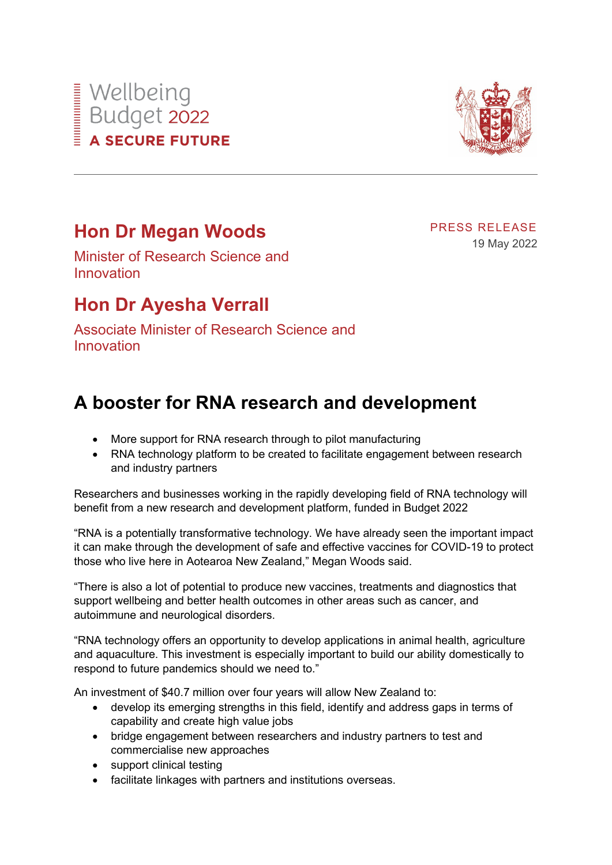## Wellbeing<br>Budget 2022<br>A SECURE FUTU **A SECURE FUTURE**



## **Hon Dr Megan Woods**

PRESS RELEASE 19 May 2022

Minister of Research Science and Innovation

## **Hon Dr Ayesha Verrall**

Associate Minister of Research Science and Innovation

## **A booster for RNA research and development**

- More support for RNA research through to pilot manufacturing
- RNA technology platform to be created to facilitate engagement between research and industry partners

Researchers and businesses working in the rapidly developing field of RNA technology will benefit from a new research and development platform, funded in Budget 2022

"RNA is a potentially transformative technology. We have already seen the important impact it can make through the development of safe and effective vaccines for COVID-19 to protect those who live here in Aotearoa New Zealand," Megan Woods said.

"There is also a lot of potential to produce new vaccines, treatments and diagnostics that support wellbeing and better health outcomes in other areas such as cancer, and autoimmune and neurological disorders.

"RNA technology offers an opportunity to develop applications in animal health, agriculture and aquaculture. This investment is especially important to build our ability domestically to respond to future pandemics should we need to."

An investment of \$40.7 million over four years will allow New Zealand to:

- develop its emerging strengths in this field, identify and address gaps in terms of capability and create high value jobs
- bridge engagement between researchers and industry partners to test and commercialise new approaches
- support clinical testing
- facilitate linkages with partners and institutions overseas.